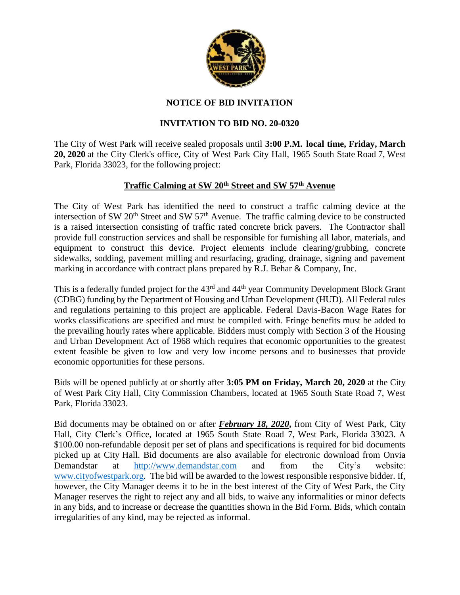

## **NOTICE OF BID INVITATION**

## **INVITATION TO BID NO. 20-0320**

The City of West Park will receive sealed proposals until **3:00 P.M. local time, Friday, March 20, 2020** at the City Clerk's office, City of West Park City Hall, 1965 South State Road 7, West Park, Florida 33023, for the following project:

## **Traffic Calming at SW 20th Street and SW 57th Avenue**

The City of West Park has identified the need to construct a traffic calming device at the intersection of SW 20<sup>th</sup> Street and SW 57<sup>th</sup> Avenue. The traffic calming device to be constructed is a raised intersection consisting of traffic rated concrete brick pavers. The Contractor shall provide full construction services and shall be responsible for furnishing all labor, materials, and equipment to construct this device. Project elements include clearing/grubbing, concrete sidewalks, sodding, pavement milling and resurfacing, grading, drainage, signing and pavement marking in accordance with contract plans prepared by R.J. Behar & Company, Inc.

This is a federally funded project for the 43<sup>rd</sup> and 44<sup>th</sup> year Community Development Block Grant (CDBG) funding by the Department of Housing and Urban Development (HUD). All Federal rules and regulations pertaining to this project are applicable. Federal Davis-Bacon Wage Rates for works classifications are specified and must be compiled with. Fringe benefits must be added to the prevailing hourly rates where applicable. Bidders must comply with Section 3 of the Housing and Urban Development Act of 1968 which requires that economic opportunities to the greatest extent feasible be given to low and very low income persons and to businesses that provide economic opportunities for these persons.

Bids will be opened publicly at or shortly after **3:05 PM on Friday, March 20, 2020** at the City of West Park City Hall, City Commission Chambers, located at 1965 South State Road 7, West Park, Florida 33023.

Bid documents may be obtained on or after *February 18, 2020***,** from City of West Park, City Hall, City Clerk's Office, located at 1965 South State Road 7, West Park, Florida 33023. A \$100.00 non-refundable deposit per set of plans and specifications is required for bid documents picked up at City Hall. Bid documents are also available for electronic download from Onvia Demandstar at [http://www.demandstar.com](http://www.demandstar.com/) and from the City's website: [www.cityofwestpark.org.](http://www.cityofwestpark.org/) The bid will be awarded to the lowest responsible responsive bidder. If, however, the City Manager deems it to be in the best interest of the City of West Park, the City Manager reserves the right to reject any and all bids, to waive any informalities or minor defects in any bids, and to increase or decrease the quantities shown in the Bid Form. Bids, which contain irregularities of any kind, may be rejected as informal.